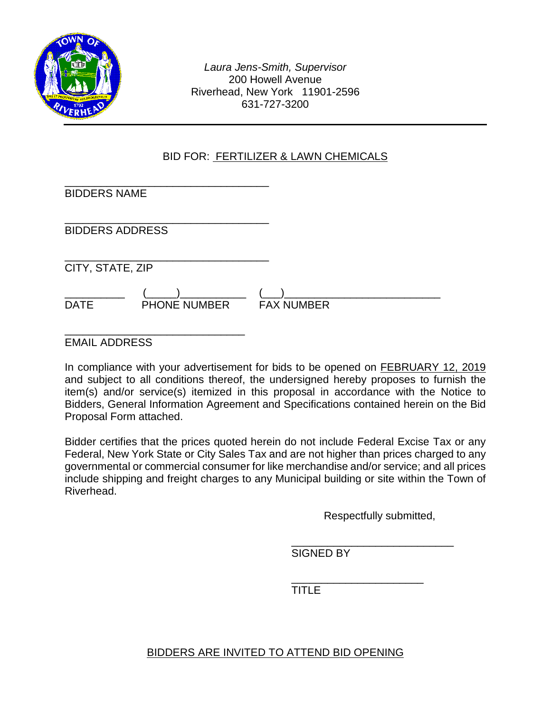

*Laura Jens-Smith, Supervisor* 200 Howell Avenue Riverhead, New York 11901-2596 631-727-3200

## BID FOR: FERTILIZER & LAWN CHEMICALS

| <b>BIDDERS NAME</b>    |                     |                   |  |
|------------------------|---------------------|-------------------|--|
| <b>BIDDERS ADDRESS</b> |                     |                   |  |
| CITY, STATE, ZIP       |                     |                   |  |
| <b>DATE</b>            | <b>PHONE NUMBER</b> | <b>FAX NUMBER</b> |  |

EMAIL ADDRESS

In compliance with your advertisement for bids to be opened on FEBRUARY 12, 2019 and subject to all conditions thereof, the undersigned hereby proposes to furnish the item(s) and/or service(s) itemized in this proposal in accordance with the Notice to Bidders, General Information Agreement and Specifications contained herein on the Bid Proposal Form attached.

Bidder certifies that the prices quoted herein do not include Federal Excise Tax or any Federal, New York State or City Sales Tax and are not higher than prices charged to any governmental or commercial consumer for like merchandise and/or service; and all prices include shipping and freight charges to any Municipal building or site within the Town of Riverhead.

Respectfully submitted,

\_\_\_\_\_\_\_\_\_\_\_\_\_\_\_\_\_\_\_\_\_\_\_\_\_\_\_ SIGNED BY

\_\_\_\_\_\_\_\_\_\_\_\_\_\_\_\_\_\_\_\_\_\_ TITLE

## BIDDERS ARE INVITED TO ATTEND BID OPENING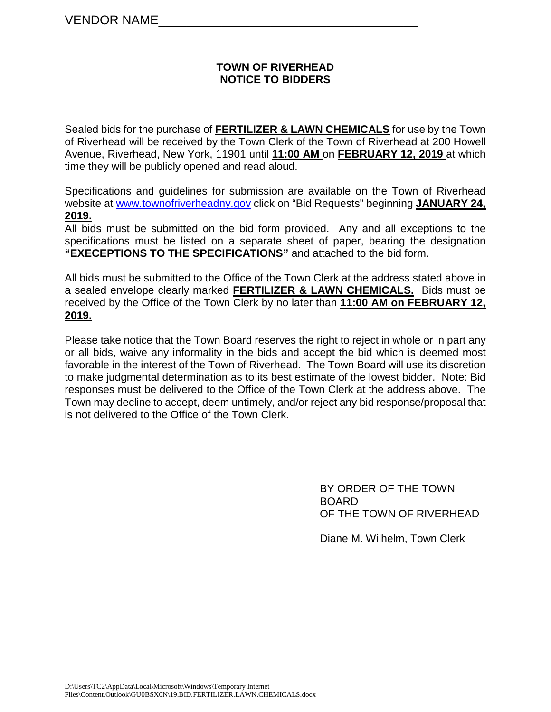#### **TOWN OF RIVERHEAD NOTICE TO BIDDERS**

Sealed bids for the purchase of **FERTILIZER & LAWN CHEMICALS** for use by the Town of Riverhead will be received by the Town Clerk of the Town of Riverhead at 200 Howell Avenue, Riverhead, New York, 11901 until **11:00 AM** on **FEBRUARY 12, 2019** at which time they will be publicly opened and read aloud.

Specifications and guidelines for submission are available on the Town of Riverhead website at [www.townofriverheadny.gov](http://www.townofriverheadny.gov/) click on "Bid Requests" beginning **JANUARY 24, 2019.**

All bids must be submitted on the bid form provided. Any and all exceptions to the specifications must be listed on a separate sheet of paper, bearing the designation **"EXECEPTIONS TO THE SPECIFICATIONS"** and attached to the bid form.

All bids must be submitted to the Office of the Town Clerk at the address stated above in a sealed envelope clearly marked **FERTILIZER & LAWN CHEMICALS.** Bids must be received by the Office of the Town Clerk by no later than **11:00 AM on FEBRUARY 12, 2019.**

Please take notice that the Town Board reserves the right to reject in whole or in part any or all bids, waive any informality in the bids and accept the bid which is deemed most favorable in the interest of the Town of Riverhead. The Town Board will use its discretion to make judgmental determination as to its best estimate of the lowest bidder. Note: Bid responses must be delivered to the Office of the Town Clerk at the address above. The Town may decline to accept, deem untimely, and/or reject any bid response/proposal that is not delivered to the Office of the Town Clerk.

> BY ORDER OF THE TOWN BOARD OF THE TOWN OF RIVERHEAD

Diane M. Wilhelm, Town Clerk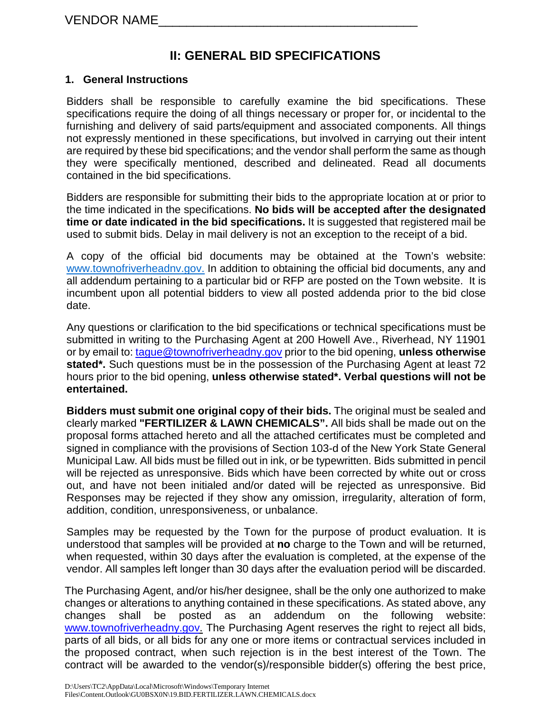# **II: GENERAL BID SPECIFICATIONS**

## **1. General Instructions**

Bidders shall be responsible to carefully examine the bid specifications. These specifications require the doing of all things necessary or proper for, or incidental to the furnishing and delivery of said parts/equipment and associated components. All things not expressly mentioned in these specifications, but involved in carrying out their intent are required by these bid specifications; and the vendor shall perform the same as though they were specifically mentioned, described and delineated. Read all documents contained in the bid specifications.

Bidders are responsible for submitting their bids to the appropriate location at or prior to the time indicated in the specifications. **No bids will be accepted after the designated time or date indicated in the bid specifications.** It is suggested that registered mail be used to submit bids. Delay in mail delivery is not an exception to the receipt of a bid.

A copy of the official bid documents may be obtained at the Town's website: www.townofriverheadny.gov. In addition to obtaining the official bid documents, any and all addendum pertaining to a particular bid or RFP are posted on the Town website. It is incumbent upon all potential bidders to view all posted addenda prior to the bid close date.

Any questions or clarification to the bid specifications or technical specifications must be submitted in writing to the Purchasing Agent at 200 Howell Ave., Riverhead, NY 11901 or by email to: [tague@townofriverheadny.gov](mailto:tague@townofriverheadny.gov) prior to the bid opening, **unless otherwise stated\*.** Such questions must be in the possession of the Purchasing Agent at least 72 hours prior to the bid opening, **unless otherwise stated\*. Verbal questions will not be entertained.** 

**Bidders must submit one original copy of their bids.** The original must be sealed and clearly marked **"FERTILIZER & LAWN CHEMICALS".** All bids shall be made out on the proposal forms attached hereto and all the attached certificates must be completed and signed in compliance with the provisions of Section 103-d of the New York State General Municipal Law. All bids must be filled out in ink, or be typewritten. Bids submitted in pencil will be rejected as unresponsive. Bids which have been corrected by white out or cross out, and have not been initialed and/or dated will be rejected as unresponsive. Bid Responses may be rejected if they show any omission, irregularity, alteration of form, addition, condition, unresponsiveness, or unbalance.

Samples may be requested by the Town for the purpose of product evaluation. It is understood that samples will be provided at **no** charge to the Town and will be returned, when requested, within 30 days after the evaluation is completed, at the expense of the vendor. All samples left longer than 30 days after the evaluation period will be discarded.

The Purchasing Agent, and/or his/her designee, shall be the only one authorized to make changes or alterations to anything contained in these specifications. As stated above, any changes shall be posted as an addendum on the following website: [www.townofriverheadny.gov.](http://www.townofriverheadny.gov/) The Purchasing Agent reserves the right to reject all bids, parts of all bids, or all bids for any one or more items or contractual services included in the proposed contract, when such rejection is in the best interest of the Town. The contract will be awarded to the vendor(s)/responsible bidder(s) offering the best price,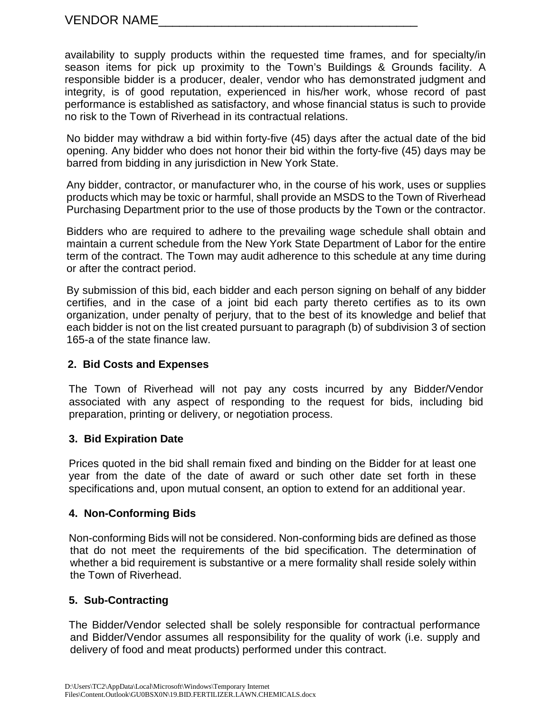availability to supply products within the requested time frames, and for specialty/in season items for pick up proximity to the Town's Buildings & Grounds facility. A responsible bidder is a producer, dealer, vendor who has demonstrated judgment and integrity, is of good reputation, experienced in his/her work, whose record of past performance is established as satisfactory, and whose financial status is such to provide no risk to the Town of Riverhead in its contractual relations.

No bidder may withdraw a bid within forty-five (45) days after the actual date of the bid opening. Any bidder who does not honor their bid within the forty-five (45) days may be barred from bidding in any jurisdiction in New York State.

Any bidder, contractor, or manufacturer who, in the course of his work, uses or supplies products which may be toxic or harmful, shall provide an MSDS to the Town of Riverhead Purchasing Department prior to the use of those products by the Town or the contractor.

Bidders who are required to adhere to the prevailing wage schedule shall obtain and maintain a current schedule from the New York State Department of Labor for the entire term of the contract. The Town may audit adherence to this schedule at any time during or after the contract period.

By submission of this bid, each bidder and each person signing on behalf of any bidder certifies, and in the case of a joint bid each party thereto certifies as to its own organization, under penalty of perjury, that to the best of its knowledge and belief that each bidder is not on the list created pursuant to paragraph (b) of subdivision 3 of section 165-a of the state finance law.

## **2. Bid Costs and Expenses**

 The Town of Riverhead will not pay any costs incurred by any Bidder/Vendor associated with any aspect of responding to the request for bids, including bid preparation, printing or delivery, or negotiation process.

## **3. Bid Expiration Date**

Prices quoted in the bid shall remain fixed and binding on the Bidder for at least one year from the date of the date of award or such other date set forth in these specifications and, upon mutual consent, an option to extend for an additional year.

## **4. Non-Conforming Bids**

Non-conforming Bids will not be considered. Non-conforming bids are defined as those that do not meet the requirements of the bid specification. The determination of whether a bid requirement is substantive or a mere formality shall reside solely within the Town of Riverhead.

## **5. Sub-Contracting**

The Bidder/Vendor selected shall be solely responsible for contractual performance and Bidder/Vendor assumes all responsibility for the quality of work (i.e. supply and delivery of food and meat products) performed under this contract.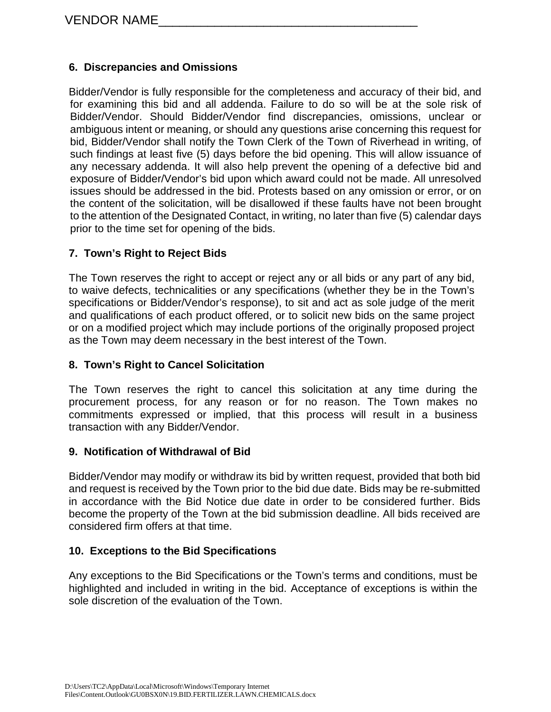## **6. Discrepancies and Omissions**

Bidder/Vendor is fully responsible for the completeness and accuracy of their bid, and for examining this bid and all addenda. Failure to do so will be at the sole risk of Bidder/Vendor. Should Bidder/Vendor find discrepancies, omissions, unclear or ambiguous intent or meaning, or should any questions arise concerning this request for bid, Bidder/Vendor shall notify the Town Clerk of the Town of Riverhead in writing, of such findings at least five (5) days before the bid opening. This will allow issuance of any necessary addenda. It will also help prevent the opening of a defective bid and exposure of Bidder/Vendor's bid upon which award could not be made. All unresolved issues should be addressed in the bid. Protests based on any omission or error, or on the content of the solicitation, will be disallowed if these faults have not been brought to the attention of the Designated Contact, in writing, no later than five (5) calendar days prior to the time set for opening of the bids.

## **7. Town's Right to Reject Bids**

The Town reserves the right to accept or reject any or all bids or any part of any bid, to waive defects, technicalities or any specifications (whether they be in the Town's specifications or Bidder/Vendor's response), to sit and act as sole judge of the merit and qualifications of each product offered, or to solicit new bids on the same project or on a modified project which may include portions of the originally proposed project as the Town may deem necessary in the best interest of the Town.

#### **8. Town's Right to Cancel Solicitation**

The Town reserves the right to cancel this solicitation at any time during the procurement process, for any reason or for no reason. The Town makes no commitments expressed or implied, that this process will result in a business transaction with any Bidder/Vendor.

#### **9. Notification of Withdrawal of Bid**

Bidder/Vendor may modify or withdraw its bid by written request, provided that both bid and request is received by the Town prior to the bid due date. Bids may be re-submitted in accordance with the Bid Notice due date in order to be considered further. Bids become the property of the Town at the bid submission deadline. All bids received are considered firm offers at that time.

#### **10. Exceptions to the Bid Specifications**

Any exceptions to the Bid Specifications or the Town's terms and conditions, must be highlighted and included in writing in the bid. Acceptance of exceptions is within the sole discretion of the evaluation of the Town.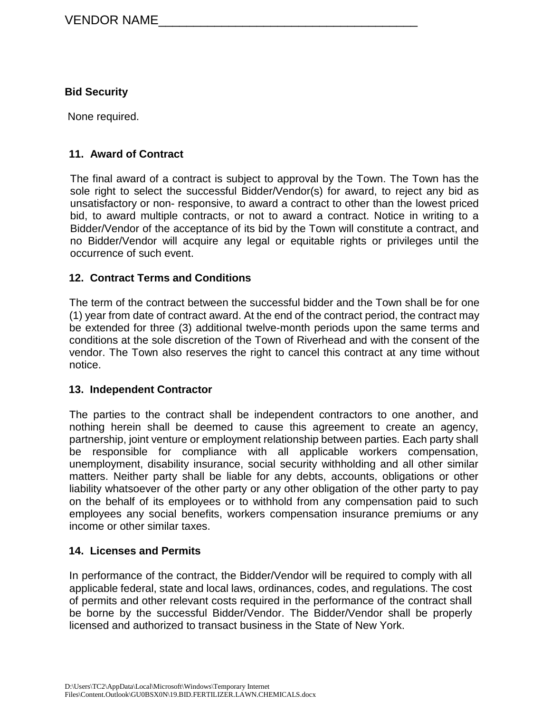#### **Bid Security**

None required.

#### **11. Award of Contract**

The final award of a contract is subject to approval by the Town. The Town has the sole right to select the successful Bidder/Vendor(s) for award, to reject any bid as unsatisfactory or non- responsive, to award a contract to other than the lowest priced bid, to award multiple contracts, or not to award a contract. Notice in writing to a Bidder/Vendor of the acceptance of its bid by the Town will constitute a contract, and no Bidder/Vendor will acquire any legal or equitable rights or privileges until the occurrence of such event.

#### **12. Contract Terms and Conditions**

The term of the contract between the successful bidder and the Town shall be for one (1) year from date of contract award. At the end of the contract period, the contract may be extended for three (3) additional twelve-month periods upon the same terms and conditions at the sole discretion of the Town of Riverhead and with the consent of the vendor. The Town also reserves the right to cancel this contract at any time without notice.

#### **13. Independent Contractor**

The parties to the contract shall be independent contractors to one another, and nothing herein shall be deemed to cause this agreement to create an agency, partnership, joint venture or employment relationship between parties. Each party shall be responsible for compliance with all applicable workers compensation, unemployment, disability insurance, social security withholding and all other similar matters. Neither party shall be liable for any debts, accounts, obligations or other liability whatsoever of the other party or any other obligation of the other party to pay on the behalf of its employees or to withhold from any compensation paid to such employees any social benefits, workers compensation insurance premiums or any income or other similar taxes.

#### **14. Licenses and Permits**

In performance of the contract, the Bidder/Vendor will be required to comply with all applicable federal, state and local laws, ordinances, codes, and regulations. The cost of permits and other relevant costs required in the performance of the contract shall be borne by the successful Bidder/Vendor. The Bidder/Vendor shall be properly licensed and authorized to transact business in the State of New York.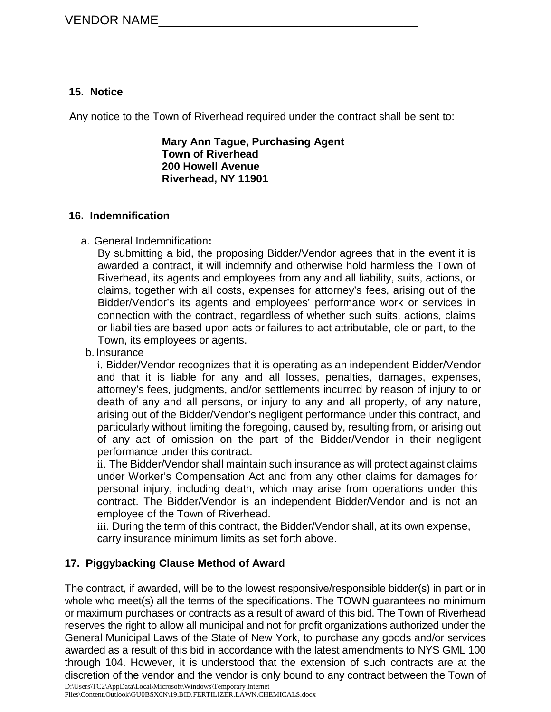## **15. Notice**

Any notice to the Town of Riverhead required under the contract shall be sent to:

**Mary Ann Tague, Purchasing Agent Town of Riverhead 200 Howell Avenue Riverhead, NY 11901**

#### **16. Indemnification**

## a. General Indemnification**:**

By submitting a bid, the proposing Bidder/Vendor agrees that in the event it is awarded a contract, it will indemnify and otherwise hold harmless the Town of Riverhead, its agents and employees from any and all liability, suits, actions, or claims, together with all costs, expenses for attorney's fees, arising out of the Bidder/Vendor's its agents and employees' performance work or services in connection with the contract, regardless of whether such suits, actions, claims or liabilities are based upon acts or failures to act attributable, ole or part, to the Town, its employees or agents.

b. Insurance

i. Bidder/Vendor recognizes that it is operating as an independent Bidder/Vendor and that it is liable for any and all losses, penalties, damages, expenses, attorney's fees, judgments, and/or settlements incurred by reason of injury to or death of any and all persons, or injury to any and all property, of any nature, arising out of the Bidder/Vendor's negligent performance under this contract, and particularly without limiting the foregoing, caused by, resulting from, or arising out of any act of omission on the part of the Bidder/Vendor in their negligent performance under this contract.

ii. The Bidder/Vendor shall maintain such insurance as will protect against claims under Worker's Compensation Act and from any other claims for damages for personal injury, including death, which may arise from operations under this contract. The Bidder/Vendor is an independent Bidder/Vendor and is not an employee of the Town of Riverhead.

iii. During the term of this contract, the Bidder/Vendor shall, at its own expense, carry insurance minimum limits as set forth above.

## **17. Piggybacking Clause Method of Award**

The contract, if awarded, will be to the lowest responsive/responsible bidder(s) in part or in whole who meet(s) all the terms of the specifications. The TOWN quarantees no minimum or maximum purchases or contracts as a result of award of this bid. The Town of Riverhead reserves the right to allow all municipal and not for profit organizations authorized under the General Municipal Laws of the State of New York, to purchase any goods and/or services awarded as a result of this bid in accordance with the latest amendments to NYS GML 100 through 104. However, it is understood that the extension of such contracts are at the discretion of the vendor and the vendor is only bound to any contract between the Town of

D:\Users\TC2\AppData\Local\Microsoft\Windows\Temporary Internet

Files\Content.Outlook\GU0BSX0N\19.BID.FERTILIZER.LAWN.CHEMICALS.docx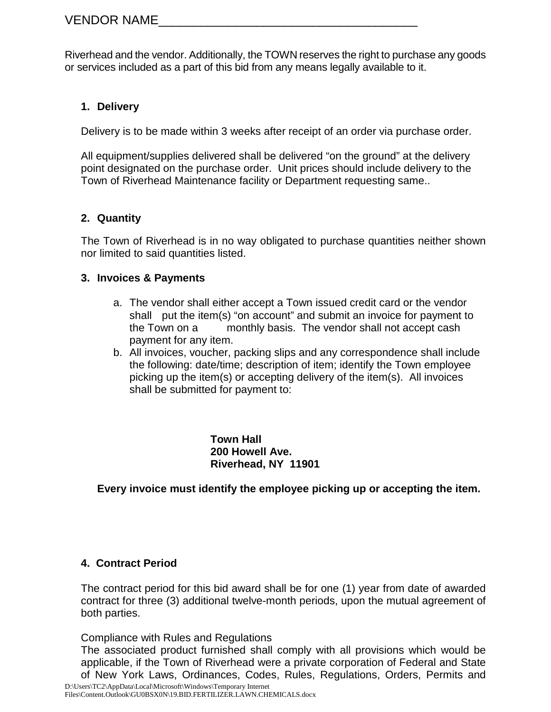Riverhead and the vendor. Additionally, the TOWN reserves the right to purchase any goods or services included as a part of this bid from any means legally available to it.

## **1. Delivery**

Delivery is to be made within 3 weeks after receipt of an order via purchase order.

All equipment/supplies delivered shall be delivered "on the ground" at the delivery point designated on the purchase order. Unit prices should include delivery to the Town of Riverhead Maintenance facility or Department requesting same..

## **2. Quantity**

The Town of Riverhead is in no way obligated to purchase quantities neither shown nor limited to said quantities listed.

## **3. Invoices & Payments**

- a. The vendor shall either accept a Town issued credit card or the vendor shall put the item(s) "on account" and submit an invoice for payment to the Town on a monthly basis. The vendor shall not accept cash payment for any item.
- b. All invoices, voucher, packing slips and any correspondence shall include the following: date/time; description of item; identify the Town employee picking up the item(s) or accepting delivery of the item(s). All invoices shall be submitted for payment to:

**Town Hall 200 Howell Ave. Riverhead, NY 11901**

**Every invoice must identify the employee picking up or accepting the item.**

## **4. Contract Period**

The contract period for this bid award shall be for one (1) year from date of awarded contract for three (3) additional twelve-month periods, upon the mutual agreement of both parties.

Compliance with Rules and Regulations

The associated product furnished shall comply with all provisions which would be applicable, if the Town of Riverhead were a private corporation of Federal and State of New York Laws, Ordinances, Codes, Rules, Regulations, Orders, Permits and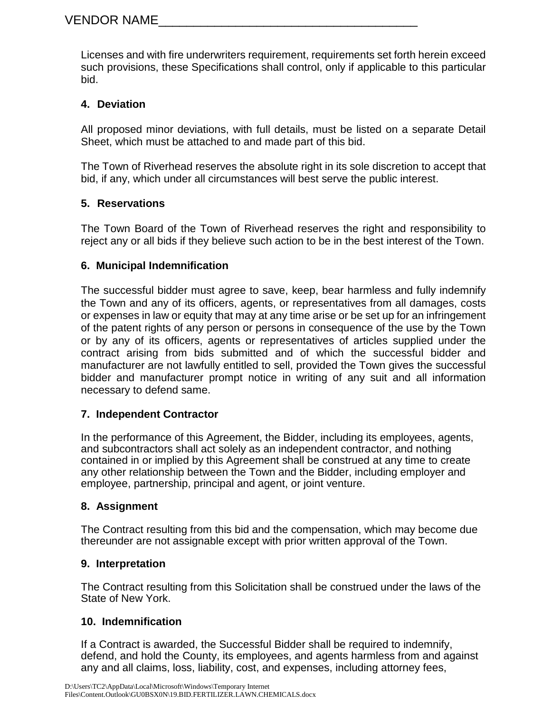Licenses and with fire underwriters requirement, requirements set forth herein exceed such provisions, these Specifications shall control, only if applicable to this particular bid.

## **4. Deviation**

All proposed minor deviations, with full details, must be listed on a separate Detail Sheet, which must be attached to and made part of this bid.

The Town of Riverhead reserves the absolute right in its sole discretion to accept that bid, if any, which under all circumstances will best serve the public interest.

## **5. Reservations**

The Town Board of the Town of Riverhead reserves the right and responsibility to reject any or all bids if they believe such action to be in the best interest of the Town.

## **6. Municipal Indemnification**

The successful bidder must agree to save, keep, bear harmless and fully indemnify the Town and any of its officers, agents, or representatives from all damages, costs or expenses in law or equity that may at any time arise or be set up for an infringement of the patent rights of any person or persons in consequence of the use by the Town or by any of its officers, agents or representatives of articles supplied under the contract arising from bids submitted and of which the successful bidder and manufacturer are not lawfully entitled to sell, provided the Town gives the successful bidder and manufacturer prompt notice in writing of any suit and all information necessary to defend same.

## **7. Independent Contractor**

In the performance of this Agreement, the Bidder, including its employees, agents, and subcontractors shall act solely as an independent contractor, and nothing contained in or implied by this Agreement shall be construed at any time to create any other relationship between the Town and the Bidder, including employer and employee, partnership, principal and agent, or joint venture.

## **8. Assignment**

The Contract resulting from this bid and the compensation, which may become due thereunder are not assignable except with prior written approval of the Town.

## **9. Interpretation**

The Contract resulting from this Solicitation shall be construed under the laws of the State of New York.

## **10. Indemnification**

If a Contract is awarded, the Successful Bidder shall be required to indemnify, defend, and hold the County, its employees, and agents harmless from and against any and all claims, loss, liability, cost, and expenses, including attorney fees,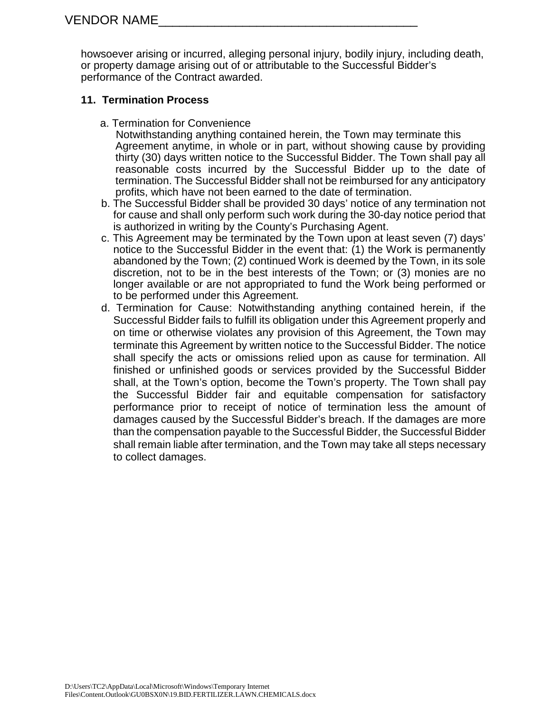howsoever arising or incurred, alleging personal injury, bodily injury, including death, or property damage arising out of or attributable to the Successful Bidder's performance of the Contract awarded.

## **11. Termination Process**

a. Termination for Convenience

 Notwithstanding anything contained herein, the Town may terminate this Agreement anytime, in whole or in part, without showing cause by providing thirty (30) days written notice to the Successful Bidder. The Town shall pay all reasonable costs incurred by the Successful Bidder up to the date of termination. The Successful Bidder shall not be reimbursed for any anticipatory profits, which have not been earned to the date of termination.

- b. The Successful Bidder shall be provided 30 days' notice of any termination not for cause and shall only perform such work during the 30-day notice period that is authorized in writing by the County's Purchasing Agent.
- c. This Agreement may be terminated by the Town upon at least seven (7) days' notice to the Successful Bidder in the event that: (1) the Work is permanently abandoned by the Town; (2) continued Work is deemed by the Town, in its sole discretion, not to be in the best interests of the Town; or (3) monies are no longer available or are not appropriated to fund the Work being performed or to be performed under this Agreement.
- d. Termination for Cause: Notwithstanding anything contained herein, if the Successful Bidder fails to fulfill its obligation under this Agreement properly and on time or otherwise violates any provision of this Agreement, the Town may terminate this Agreement by written notice to the Successful Bidder. The notice shall specify the acts or omissions relied upon as cause for termination. All finished or unfinished goods or services provided by the Successful Bidder shall, at the Town's option, become the Town's property. The Town shall pay the Successful Bidder fair and equitable compensation for satisfactory performance prior to receipt of notice of termination less the amount of damages caused by the Successful Bidder's breach. If the damages are more than the compensation payable to the Successful Bidder, the Successful Bidder shall remain liable after termination, and the Town may take all steps necessary to collect damages.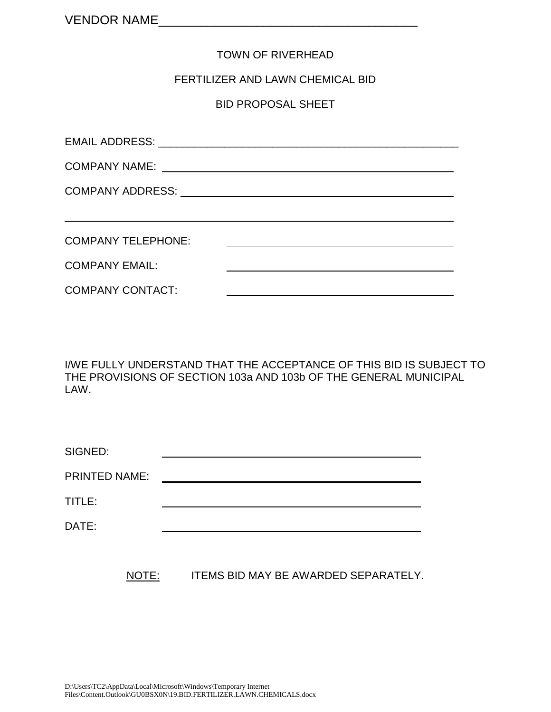#### TOWN OF RIVERHEAD

#### FERTILIZER AND LAWN CHEMICAL BID

BID PROPOSAL SHEET

| <b>COMPANY TELEPHONE:</b> |  |
|---------------------------|--|
| <b>COMPANY EMAIL:</b>     |  |
| <b>COMPANY CONTACT:</b>   |  |

I/WE FULLY UNDERSTAND THAT THE ACCEPTANCE OF THIS BID IS SUBJECT TO THE PROVISIONS OF SECTION 103a AND 103b OF THE GENERAL MUNICIPAL LAW.

| SIGNED:              |  |
|----------------------|--|
| <b>PRINTED NAME:</b> |  |
| TITLE:               |  |
| DATE:                |  |

NOTE: ITEMS BID MAY BE AWARDED SEPARATELY.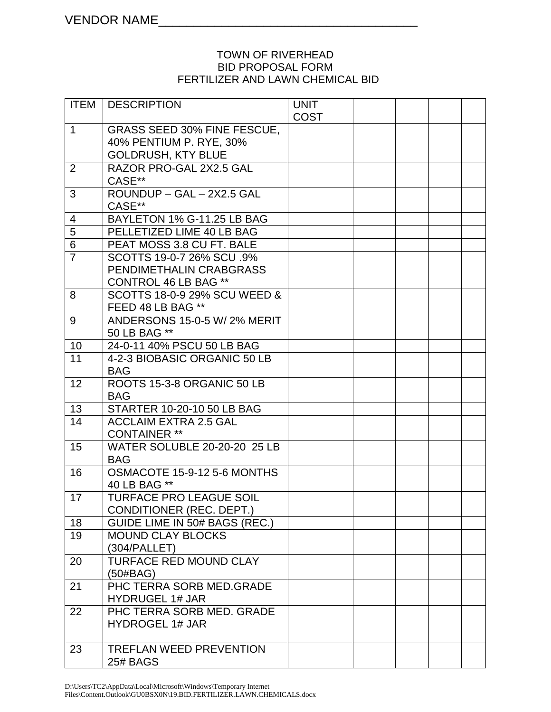#### TOWN OF RIVERHEAD BID PROPOSAL FORM FERTILIZER AND LAWN CHEMICAL BID

| ITEM           | <b>DESCRIPTION</b>                         | <b>UNIT</b> |  |  |
|----------------|--------------------------------------------|-------------|--|--|
|                |                                            | <b>COST</b> |  |  |
| $\mathbf{1}$   | <b>GRASS SEED 30% FINE FESCUE.</b>         |             |  |  |
|                | 40% PENTIUM P. RYE, 30%                    |             |  |  |
|                | <b>GOLDRUSH, KTY BLUE</b>                  |             |  |  |
| $\overline{2}$ | RAZOR PRO-GAL 2X2.5 GAL                    |             |  |  |
|                | CASE**                                     |             |  |  |
| 3              | ROUNDUP - GAL - 2X2.5 GAL                  |             |  |  |
|                | CASE**                                     |             |  |  |
| 4              | BAYLETON 1% G-11.25 LB BAG                 |             |  |  |
| $\overline{5}$ | PELLETIZED LIME 40 LB BAG                  |             |  |  |
| $\overline{6}$ | PEAT MOSS 3.8 CU FT. BALE                  |             |  |  |
| $\overline{7}$ | SCOTTS 19-0-7 26% SCU .9%                  |             |  |  |
|                | PENDIMETHALIN CRABGRASS                    |             |  |  |
|                | <b>CONTROL 46 LB BAG **</b>                |             |  |  |
| 8              | SCOTTS 18-0-9 29% SCU WEED &               |             |  |  |
|                | FEED 48 LB BAG **                          |             |  |  |
| 9              | ANDERSONS 15-0-5 W/2% MERIT                |             |  |  |
|                | 50 LB BAG **<br>24-0-11 40% PSCU 50 LB BAG |             |  |  |
| 10<br>11       | 4-2-3 BIOBASIC ORGANIC 50 LB               |             |  |  |
|                | <b>BAG</b>                                 |             |  |  |
| 12             | ROOTS 15-3-8 ORGANIC 50 LB                 |             |  |  |
|                | <b>BAG</b>                                 |             |  |  |
| 13             | STARTER 10-20-10 50 LB BAG                 |             |  |  |
| 14             | <b>ACCLAIM EXTRA 2.5 GAL</b>               |             |  |  |
|                | <b>CONTAINER **</b>                        |             |  |  |
| 15             | <b>WATER SOLUBLE 20-20-20 25 LB</b>        |             |  |  |
|                | <b>BAG</b>                                 |             |  |  |
| 16             | OSMACOTE 15-9-12 5-6 MONTHS                |             |  |  |
|                | 40 LB BAG **                               |             |  |  |
| 17             | <b>TURFACE PRO LEAGUE SOIL</b>             |             |  |  |
|                | <b>CONDITIONER (REC. DEPT.)</b>            |             |  |  |
| 18             | GUIDE LIME IN 50# BAGS (REC.)              |             |  |  |
| 19             | <b>MOUND CLAY BLOCKS</b>                   |             |  |  |
|                | (304/PALLET)                               |             |  |  |
| 20             | <b>TURFACE RED MOUND CLAY</b>              |             |  |  |
|                | (50#BAG)                                   |             |  |  |
| 21             | PHC TERRA SORB MED.GRADE                   |             |  |  |
|                | <b>HYDRUGEL 1# JAR</b>                     |             |  |  |
| 22             | PHC TERRA SORB MED. GRADE                  |             |  |  |
|                | <b>HYDROGEL 1# JAR</b>                     |             |  |  |
|                |                                            |             |  |  |
| 23             | <b>TREFLAN WEED PREVENTION</b>             |             |  |  |
|                | <b>25# BAGS</b>                            |             |  |  |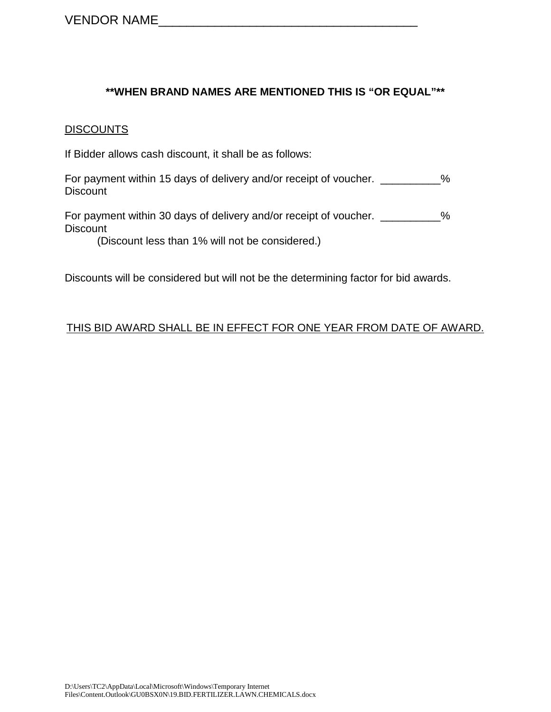#### **\*\*WHEN BRAND NAMES ARE MENTIONED THIS IS "OR EQUAL"\*\***

#### **DISCOUNTS**

If Bidder allows cash discount, it shall be as follows:

For payment within 15 days of delivery and/or receipt of voucher. \_\_\_\_\_\_\_\_\_% **Discount** 

For payment within 30 days of delivery and/or receipt of voucher. \_\_\_\_\_\_\_\_\_% **Discount** 

(Discount less than 1% will not be considered.)

Discounts will be considered but will not be the determining factor for bid awards.

#### THIS BID AWARD SHALL BE IN EFFECT FOR ONE YEAR FROM DATE OF AWARD.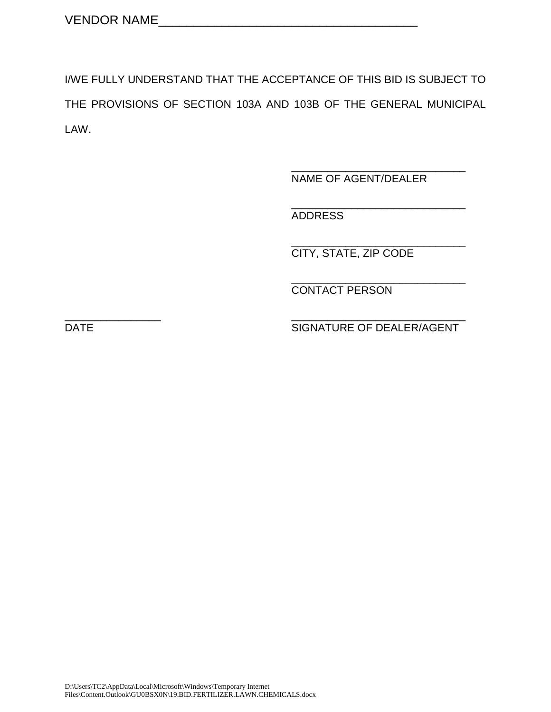I/WE FULLY UNDERSTAND THAT THE ACCEPTANCE OF THIS BID IS SUBJECT TO THE PROVISIONS OF SECTION 103A AND 103B OF THE GENERAL MUNICIPAL LAW.

> \_\_\_\_\_\_\_\_\_\_\_\_\_\_\_\_\_\_\_\_\_\_\_\_\_\_\_\_\_ NAME OF AGENT/DEALER

> \_\_\_\_\_\_\_\_\_\_\_\_\_\_\_\_\_\_\_\_\_\_\_\_\_\_\_\_\_ ADDRESS

> \_\_\_\_\_\_\_\_\_\_\_\_\_\_\_\_\_\_\_\_\_\_\_\_\_\_\_\_\_ CITY, STATE, ZIP CODE

> \_\_\_\_\_\_\_\_\_\_\_\_\_\_\_\_\_\_\_\_\_\_\_\_\_\_\_\_\_ CONTACT PERSON

\_\_\_\_\_\_\_\_\_\_\_\_\_\_\_\_ \_\_\_\_\_\_\_\_\_\_\_\_\_\_\_\_\_\_\_\_\_\_\_\_\_\_\_\_\_ DATE SIGNATURE OF DEALER/AGENT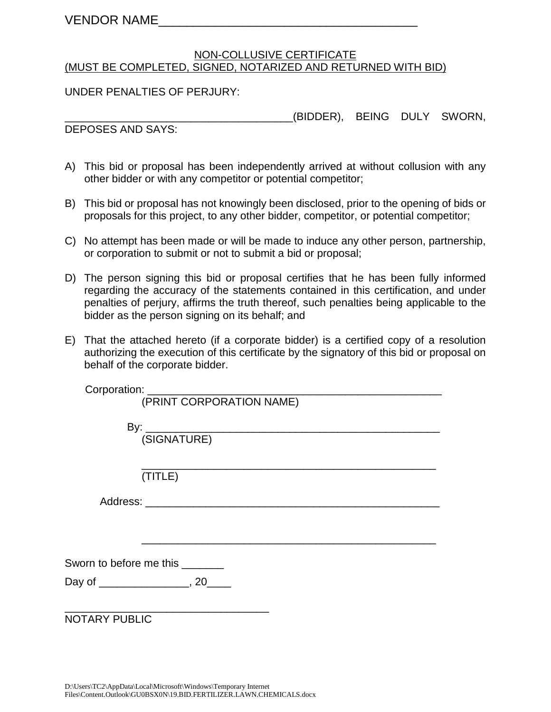#### NON-COLLUSIVE CERTIFICATE (MUST BE COMPLETED, SIGNED, NOTARIZED AND RETURNED WITH BID)

UNDER PENALTIES OF PERJURY:

\_\_\_\_\_\_\_\_\_\_\_\_\_\_\_\_\_\_\_\_\_\_\_\_\_\_\_\_\_\_\_\_\_\_\_\_\_\_(BIDDER), BEING DULY SWORN,

DEPOSES AND SAYS:

- A) This bid or proposal has been independently arrived at without collusion with any other bidder or with any competitor or potential competitor;
- B) This bid or proposal has not knowingly been disclosed, prior to the opening of bids or proposals for this project, to any other bidder, competitor, or potential competitor;
- C) No attempt has been made or will be made to induce any other person, partnership, or corporation to submit or not to submit a bid or proposal;
- D) The person signing this bid or proposal certifies that he has been fully informed regarding the accuracy of the statements contained in this certification, and under penalties of perjury, affirms the truth thereof, such penalties being applicable to the bidder as the person signing on its behalf; and
- E) That the attached hereto (if a corporate bidder) is a certified copy of a resolution authorizing the execution of this certificate by the signatory of this bid or proposal on behalf of the corporate bidder.

| Corporation: _______    |                          |
|-------------------------|--------------------------|
|                         | (PRINT CORPORATION NAME) |
|                         |                          |
|                         |                          |
|                         | (SIGNATURE)              |
|                         |                          |
|                         |                          |
|                         | (TITLE)                  |
|                         |                          |
|                         |                          |
|                         |                          |
|                         |                          |
|                         |                          |
| Sworn to before me this |                          |
|                         |                          |
|                         |                          |
| <b>NOTARY PUBLIC</b>    |                          |
|                         |                          |
|                         |                          |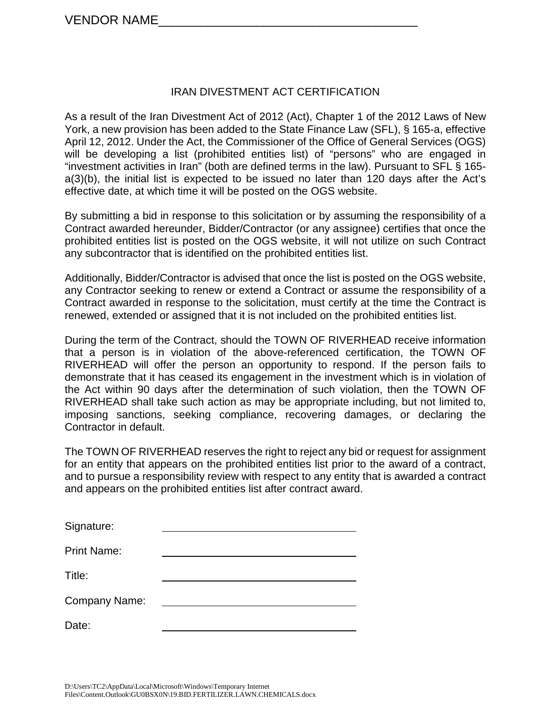#### IRAN DIVESTMENT ACT CERTIFICATION

As a result of the Iran Divestment Act of 2012 (Act), Chapter 1 of the 2012 Laws of New York, a new provision has been added to the State Finance Law (SFL), § 165-a, effective April 12, 2012. Under the Act, the Commissioner of the Office of General Services (OGS) will be developing a list (prohibited entities list) of "persons" who are engaged in "investment activities in Iran" (both are defined terms in the law). Pursuant to SFL § 165 a(3)(b), the initial list is expected to be issued no later than 120 days after the Act's effective date, at which time it will be posted on the OGS website.

By submitting a bid in response to this solicitation or by assuming the responsibility of a Contract awarded hereunder, Bidder/Contractor (or any assignee) certifies that once the prohibited entities list is posted on the OGS website, it will not utilize on such Contract any subcontractor that is identified on the prohibited entities list.

Additionally, Bidder/Contractor is advised that once the list is posted on the OGS website, any Contractor seeking to renew or extend a Contract or assume the responsibility of a Contract awarded in response to the solicitation, must certify at the time the Contract is renewed, extended or assigned that it is not included on the prohibited entities list.

During the term of the Contract, should the TOWN OF RIVERHEAD receive information that a person is in violation of the above-referenced certification, the TOWN OF RIVERHEAD will offer the person an opportunity to respond. If the person fails to demonstrate that it has ceased its engagement in the investment which is in violation of the Act within 90 days after the determination of such violation, then the TOWN OF RIVERHEAD shall take such action as may be appropriate including, but not limited to, imposing sanctions, seeking compliance, recovering damages, or declaring the Contractor in default.

The TOWN OF RIVERHEAD reserves the right to reject any bid or request for assignment for an entity that appears on the prohibited entities list prior to the award of a contract, and to pursue a responsibility review with respect to any entity that is awarded a contract and appears on the prohibited entities list after contract award.

| Signature:         |  |
|--------------------|--|
| <b>Print Name:</b> |  |
| Title:             |  |
| Company Name:      |  |
| Date:              |  |